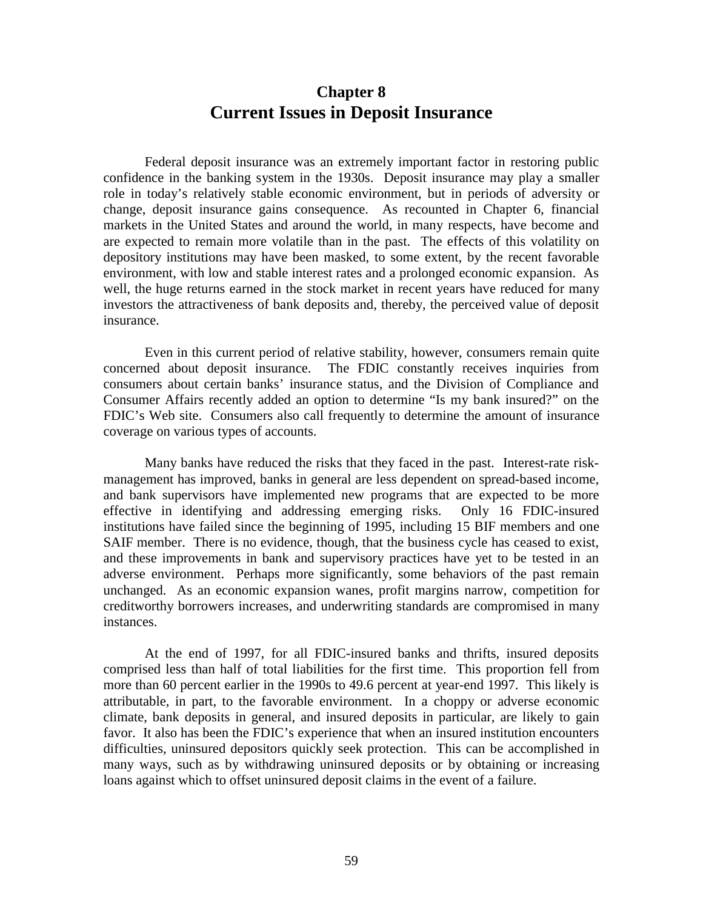### **Chapter 8 Current Issues in Deposit Insurance**

Federal deposit insurance was an extremely important factor in restoring public confidence in the banking system in the 1930s. Deposit insurance may play a smaller role in today's relatively stable economic environment, but in periods of adversity or change, deposit insurance gains consequence. As recounted in Chapter 6, financial markets in the United States and around the world, in many respects, have become and are expected to remain more volatile than in the past. The effects of this volatility on depository institutions may have been masked, to some extent, by the recent favorable environment, with low and stable interest rates and a prolonged economic expansion. As well, the huge returns earned in the stock market in recent years have reduced for many investors the attractiveness of bank deposits and, thereby, the perceived value of deposit insurance.

Even in this current period of relative stability, however, consumers remain quite concerned about deposit insurance. The FDIC constantly receives inquiries from consumers about certain banks' insurance status, and the Division of Compliance and Consumer Affairs recently added an option to determine "Is my bank insured?" on the FDIC's Web site. Consumers also call frequently to determine the amount of insurance coverage on various types of accounts.

Many banks have reduced the risks that they faced in the past. Interest-rate riskmanagement has improved, banks in general are less dependent on spread-based income, and bank supervisors have implemented new programs that are expected to be more effective in identifying and addressing emerging risks. Only 16 FDIC-insured institutions have failed since the beginning of 1995, including 15 BIF members and one SAIF member. There is no evidence, though, that the business cycle has ceased to exist, and these improvements in bank and supervisory practices have yet to be tested in an adverse environment. Perhaps more significantly, some behaviors of the past remain unchanged. As an economic expansion wanes, profit margins narrow, competition for creditworthy borrowers increases, and underwriting standards are compromised in many instances.

At the end of 1997, for all FDIC-insured banks and thrifts, insured deposits comprised less than half of total liabilities for the first time. This proportion fell from more than 60 percent earlier in the 1990s to 49.6 percent at year-end 1997. This likely is attributable, in part, to the favorable environment. In a choppy or adverse economic climate, bank deposits in general, and insured deposits in particular, are likely to gain favor. It also has been the FDIC's experience that when an insured institution encounters difficulties, uninsured depositors quickly seek protection. This can be accomplished in many ways, such as by withdrawing uninsured deposits or by obtaining or increasing loans against which to offset uninsured deposit claims in the event of a failure.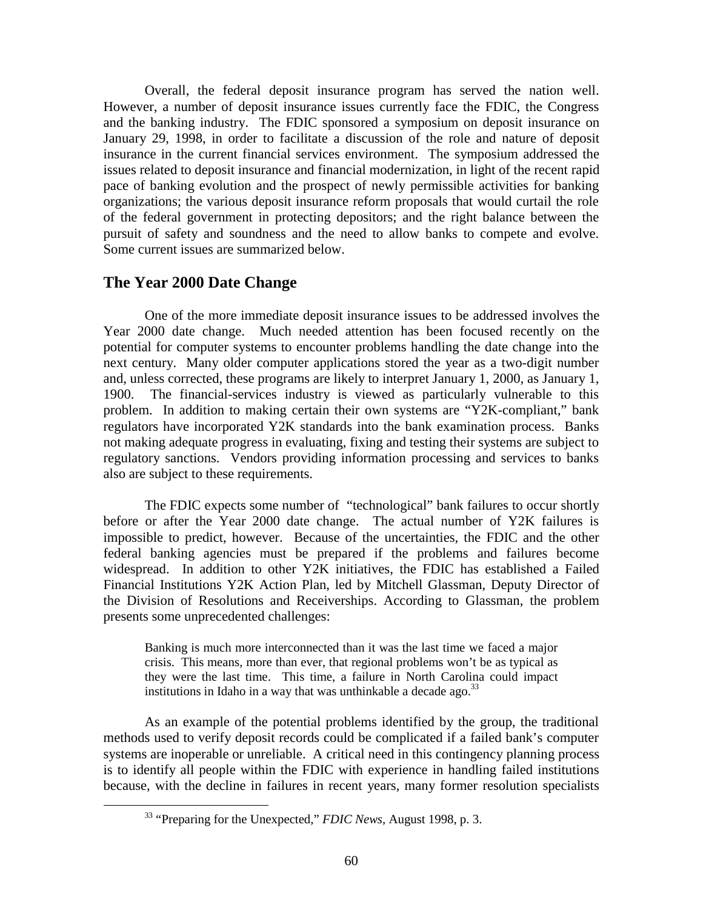Overall, the federal deposit insurance program has served the nation well. However, a number of deposit insurance issues currently face the FDIC, the Congress and the banking industry. The FDIC sponsored a symposium on deposit insurance on January 29, 1998, in order to facilitate a discussion of the role and nature of deposit insurance in the current financial services environment. The symposium addressed the issues related to deposit insurance and financial modernization, in light of the recent rapid pace of banking evolution and the prospect of newly permissible activities for banking organizations; the various deposit insurance reform proposals that would curtail the role of the federal government in protecting depositors; and the right balance between the pursuit of safety and soundness and the need to allow banks to compete and evolve. Some current issues are summarized below.

#### **The Year 2000 Date Change**

One of the more immediate deposit insurance issues to be addressed involves the Year 2000 date change. Much needed attention has been focused recently on the potential for computer systems to encounter problems handling the date change into the next century. Many older computer applications stored the year as a two-digit number and, unless corrected, these programs are likely to interpret January 1, 2000, as January 1, 1900. The financial-services industry is viewed as particularly vulnerable to this problem. In addition to making certain their own systems are "Y2K-compliant," bank regulators have incorporated Y2K standards into the bank examination process. Banks not making adequate progress in evaluating, fixing and testing their systems are subject to regulatory sanctions. Vendors providing information processing and services to banks also are subject to these requirements.

The FDIC expects some number of "technological" bank failures to occur shortly before or after the Year 2000 date change. The actual number of Y2K failures is impossible to predict, however. Because of the uncertainties, the FDIC and the other federal banking agencies must be prepared if the problems and failures become widespread. In addition to other Y2K initiatives, the FDIC has established a Failed Financial Institutions Y2K Action Plan, led by Mitchell Glassman, Deputy Director of the Division of Resolutions and Receiverships. According to Glassman, the problem presents some unprecedented challenges:

Banking is much more interconnected than it was the last time we faced a major crisis. This means, more than ever, that regional problems won't be as typical as they were the last time. This time, a failure in North Carolina could impact institutions in Idaho in a way that was unthinkable a decade ago.  $33$ 

As an example of the potential problems identified by the group, the traditional methods used to verify deposit records could be complicated if a failed bank's computer systems are inoperable or unreliable. A critical need in this contingency planning process is to identify all people within the FDIC with experience in handling failed institutions because, with the decline in failures in recent years, many former resolution specialists

 <sup>33 &</sup>quot;Preparing for the Unexpected," *FDIC News*, August 1998, p. 3.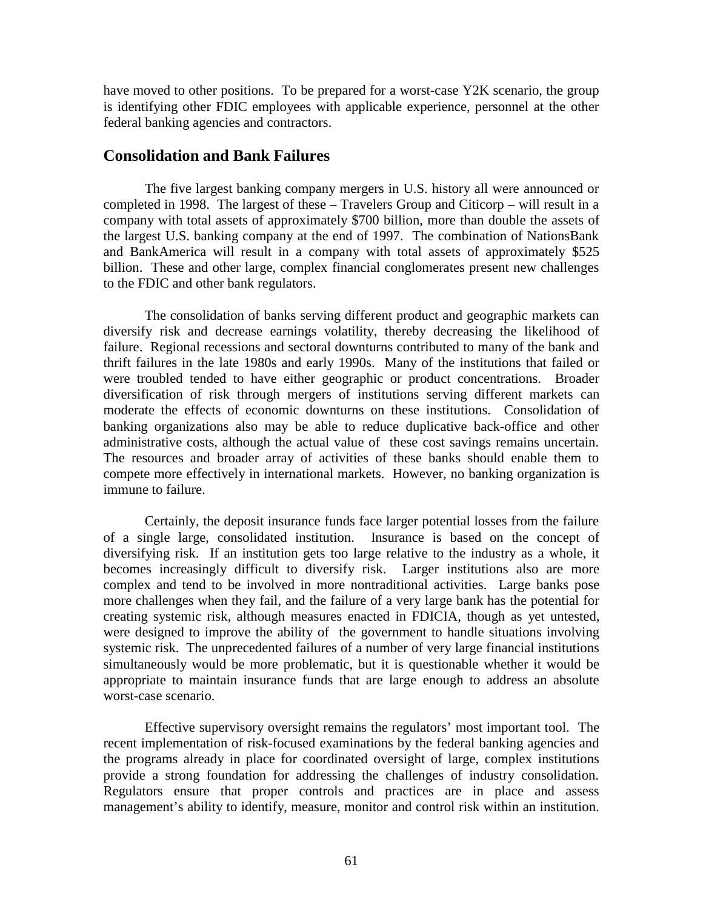have moved to other positions. To be prepared for a worst-case Y2K scenario, the group is identifying other FDIC employees with applicable experience, personnel at the other federal banking agencies and contractors.

#### **Consolidation and Bank Failures**

The five largest banking company mergers in U.S. history all were announced or completed in 1998. The largest of these – Travelers Group and Citicorp – will result in a company with total assets of approximately \$700 billion, more than double the assets of the largest U.S. banking company at the end of 1997. The combination of NationsBank and BankAmerica will result in a company with total assets of approximately \$525 billion. These and other large, complex financial conglomerates present new challenges to the FDIC and other bank regulators.

The consolidation of banks serving different product and geographic markets can diversify risk and decrease earnings volatility, thereby decreasing the likelihood of failure. Regional recessions and sectoral downturns contributed to many of the bank and thrift failures in the late 1980s and early 1990s. Many of the institutions that failed or were troubled tended to have either geographic or product concentrations. Broader diversification of risk through mergers of institutions serving different markets can moderate the effects of economic downturns on these institutions. Consolidation of banking organizations also may be able to reduce duplicative back-office and other administrative costs, although the actual value of these cost savings remains uncertain. The resources and broader array of activities of these banks should enable them to compete more effectively in international markets. However, no banking organization is immune to failure.

Certainly, the deposit insurance funds face larger potential losses from the failure of a single large, consolidated institution. Insurance is based on the concept of diversifying risk. If an institution gets too large relative to the industry as a whole, it becomes increasingly difficult to diversify risk. Larger institutions also are more complex and tend to be involved in more nontraditional activities. Large banks pose more challenges when they fail, and the failure of a very large bank has the potential for creating systemic risk, although measures enacted in FDICIA, though as yet untested, were designed to improve the ability of the government to handle situations involving systemic risk. The unprecedented failures of a number of very large financial institutions simultaneously would be more problematic, but it is questionable whether it would be appropriate to maintain insurance funds that are large enough to address an absolute worst-case scenario.

Effective supervisory oversight remains the regulators' most important tool. The recent implementation of risk-focused examinations by the federal banking agencies and the programs already in place for coordinated oversight of large, complex institutions provide a strong foundation for addressing the challenges of industry consolidation. Regulators ensure that proper controls and practices are in place and assess management's ability to identify, measure, monitor and control risk within an institution.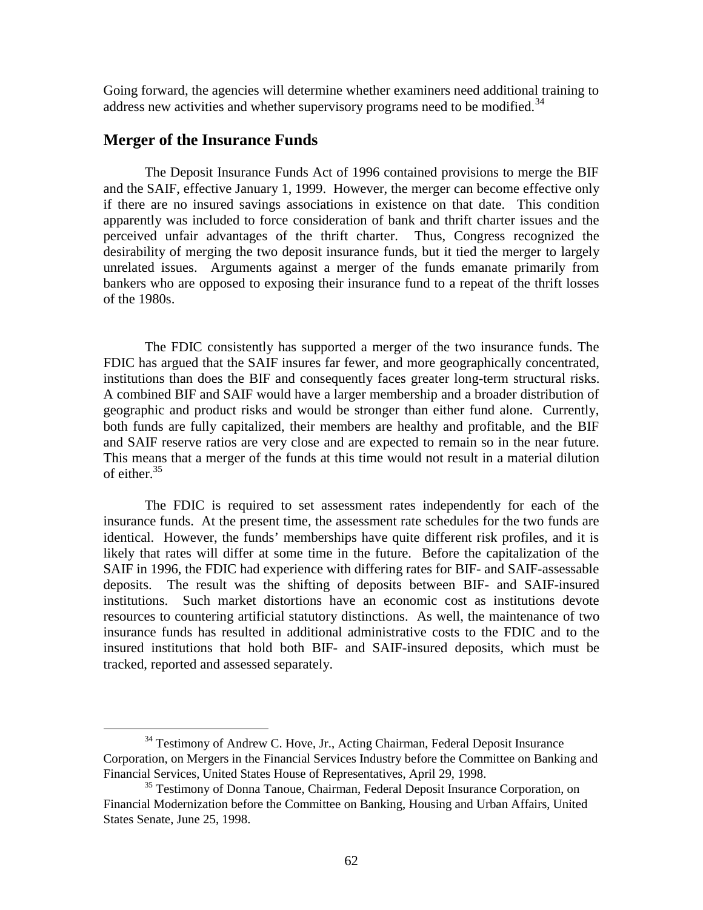Going forward, the agencies will determine whether examiners need additional training to address new activities and whether supervisory programs need to be modified.<sup>34</sup>

#### **Merger of the Insurance Funds**

The Deposit Insurance Funds Act of 1996 contained provisions to merge the BIF and the SAIF, effective January 1, 1999. However, the merger can become effective only if there are no insured savings associations in existence on that date. This condition apparently was included to force consideration of bank and thrift charter issues and the perceived unfair advantages of the thrift charter. Thus, Congress recognized the desirability of merging the two deposit insurance funds, but it tied the merger to largely unrelated issues. Arguments against a merger of the funds emanate primarily from bankers who are opposed to exposing their insurance fund to a repeat of the thrift losses of the 1980s.

The FDIC consistently has supported a merger of the two insurance funds. The FDIC has argued that the SAIF insures far fewer, and more geographically concentrated, institutions than does the BIF and consequently faces greater long-term structural risks. A combined BIF and SAIF would have a larger membership and a broader distribution of geographic and product risks and would be stronger than either fund alone. Currently, both funds are fully capitalized, their members are healthy and profitable, and the BIF and SAIF reserve ratios are very close and are expected to remain so in the near future. This means that a merger of the funds at this time would not result in a material dilution of either.<sup>35</sup>

The FDIC is required to set assessment rates independently for each of the insurance funds. At the present time, the assessment rate schedules for the two funds are identical. However, the funds' memberships have quite different risk profiles, and it is likely that rates will differ at some time in the future. Before the capitalization of the SAIF in 1996, the FDIC had experience with differing rates for BIF- and SAIF-assessable deposits. The result was the shifting of deposits between BIF- and SAIF-insured institutions. Such market distortions have an economic cost as institutions devote resources to countering artificial statutory distinctions. As well, the maintenance of two insurance funds has resulted in additional administrative costs to the FDIC and to the insured institutions that hold both BIF- and SAIF-insured deposits, which must be tracked, reported and assessed separately.

 $34$  Testimony of Andrew C. Hove, Jr., Acting Chairman, Federal Deposit Insurance Corporation, on Mergers in the Financial Services Industry before the Committee on Banking and Financial Services, United States House of Representatives, April 29, 1998.

<sup>&</sup>lt;sup>35</sup> Testimony of Donna Tanoue, Chairman, Federal Deposit Insurance Corporation, on Financial Modernization before the Committee on Banking, Housing and Urban Affairs, United States Senate, June 25, 1998.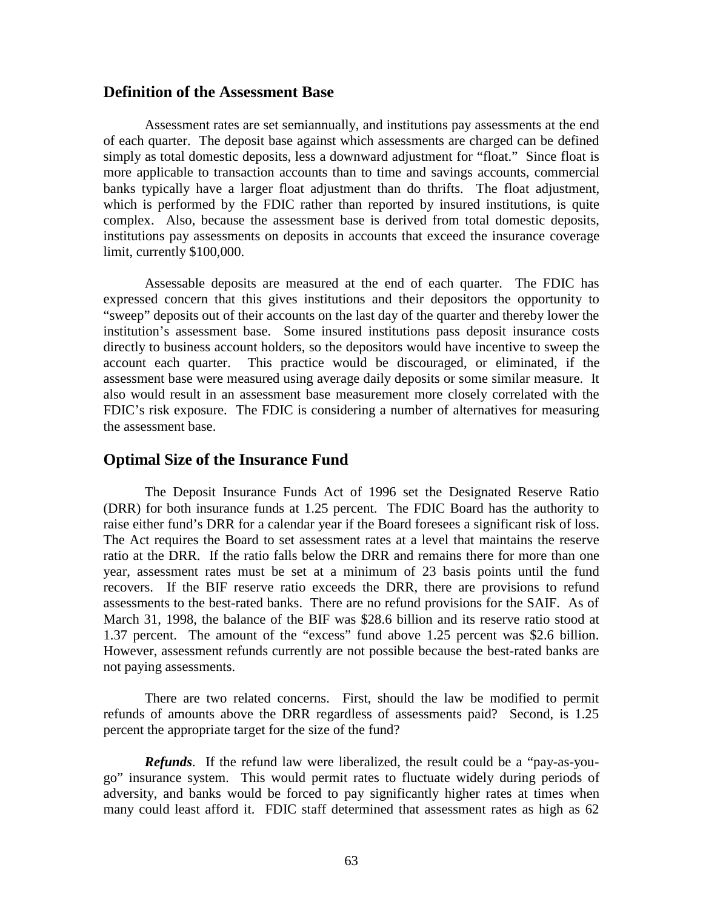#### **Definition of the Assessment Base**

Assessment rates are set semiannually, and institutions pay assessments at the end of each quarter. The deposit base against which assessments are charged can be defined simply as total domestic deposits, less a downward adjustment for "float." Since float is more applicable to transaction accounts than to time and savings accounts, commercial banks typically have a larger float adjustment than do thrifts. The float adjustment, which is performed by the FDIC rather than reported by insured institutions, is quite complex. Also, because the assessment base is derived from total domestic deposits, institutions pay assessments on deposits in accounts that exceed the insurance coverage limit, currently \$100,000.

Assessable deposits are measured at the end of each quarter. The FDIC has expressed concern that this gives institutions and their depositors the opportunity to "sweep" deposits out of their accounts on the last day of the quarter and thereby lower the institution's assessment base. Some insured institutions pass deposit insurance costs directly to business account holders, so the depositors would have incentive to sweep the account each quarter. This practice would be discouraged, or eliminated, if the assessment base were measured using average daily deposits or some similar measure. It also would result in an assessment base measurement more closely correlated with the FDIC's risk exposure. The FDIC is considering a number of alternatives for measuring the assessment base.

#### **Optimal Size of the Insurance Fund**

The Deposit Insurance Funds Act of 1996 set the Designated Reserve Ratio (DRR) for both insurance funds at 1.25 percent. The FDIC Board has the authority to raise either fund's DRR for a calendar year if the Board foresees a significant risk of loss. The Act requires the Board to set assessment rates at a level that maintains the reserve ratio at the DRR. If the ratio falls below the DRR and remains there for more than one year, assessment rates must be set at a minimum of 23 basis points until the fund recovers. If the BIF reserve ratio exceeds the DRR, there are provisions to refund assessments to the best-rated banks. There are no refund provisions for the SAIF. As of March 31, 1998, the balance of the BIF was \$28.6 billion and its reserve ratio stood at 1.37 percent. The amount of the "excess" fund above 1.25 percent was \$2.6 billion. However, assessment refunds currently are not possible because the best-rated banks are not paying assessments.

There are two related concerns. First, should the law be modified to permit refunds of amounts above the DRR regardless of assessments paid? Second, is 1.25 percent the appropriate target for the size of the fund?

*Refunds*. If the refund law were liberalized, the result could be a "pay-as-yougo" insurance system. This would permit rates to fluctuate widely during periods of adversity, and banks would be forced to pay significantly higher rates at times when many could least afford it. FDIC staff determined that assessment rates as high as 62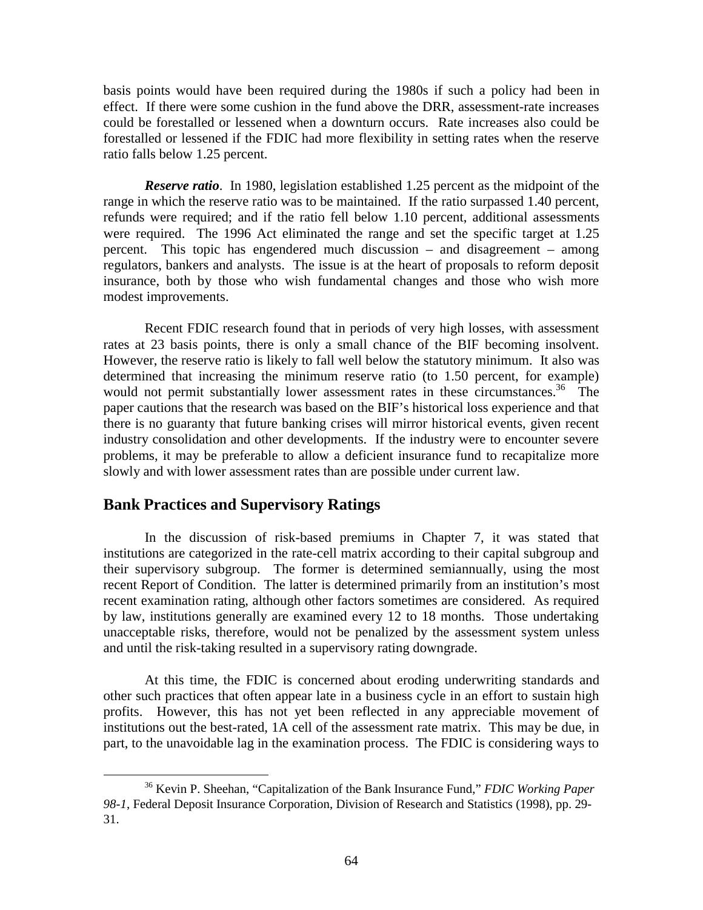basis points would have been required during the 1980s if such a policy had been in effect. If there were some cushion in the fund above the DRR, assessment-rate increases could be forestalled or lessened when a downturn occurs. Rate increases also could be forestalled or lessened if the FDIC had more flexibility in setting rates when the reserve ratio falls below 1.25 percent.

*Reserve ratio*. In 1980, legislation established 1.25 percent as the midpoint of the range in which the reserve ratio was to be maintained. If the ratio surpassed 1.40 percent, refunds were required; and if the ratio fell below 1.10 percent, additional assessments were required. The 1996 Act eliminated the range and set the specific target at 1.25 percent. This topic has engendered much discussion – and disagreement – among regulators, bankers and analysts. The issue is at the heart of proposals to reform deposit insurance, both by those who wish fundamental changes and those who wish more modest improvements.

Recent FDIC research found that in periods of very high losses, with assessment rates at 23 basis points, there is only a small chance of the BIF becoming insolvent. However, the reserve ratio is likely to fall well below the statutory minimum. It also was determined that increasing the minimum reserve ratio (to 1.50 percent, for example) would not permit substantially lower assessment rates in these circumstances.<sup>36</sup> The paper cautions that the research was based on the BIF's historical loss experience and that there is no guaranty that future banking crises will mirror historical events, given recent industry consolidation and other developments. If the industry were to encounter severe problems, it may be preferable to allow a deficient insurance fund to recapitalize more slowly and with lower assessment rates than are possible under current law.

#### **Bank Practices and Supervisory Ratings**

In the discussion of risk-based premiums in Chapter 7, it was stated that institutions are categorized in the rate-cell matrix according to their capital subgroup and their supervisory subgroup. The former is determined semiannually, using the most recent Report of Condition. The latter is determined primarily from an institution's most recent examination rating, although other factors sometimes are considered. As required by law, institutions generally are examined every 12 to 18 months. Those undertaking unacceptable risks, therefore, would not be penalized by the assessment system unless and until the risk-taking resulted in a supervisory rating downgrade.

At this time, the FDIC is concerned about eroding underwriting standards and other such practices that often appear late in a business cycle in an effort to sustain high profits. However, this has not yet been reflected in any appreciable movement of institutions out the best-rated, 1A cell of the assessment rate matrix. This may be due, in part, to the unavoidable lag in the examination process. The FDIC is considering ways to

 <sup>36</sup> Kevin P. Sheehan, "Capitalization of the Bank Insurance Fund," *FDIC Working Paper 98-1*, Federal Deposit Insurance Corporation, Division of Research and Statistics (1998), pp. 29- 31.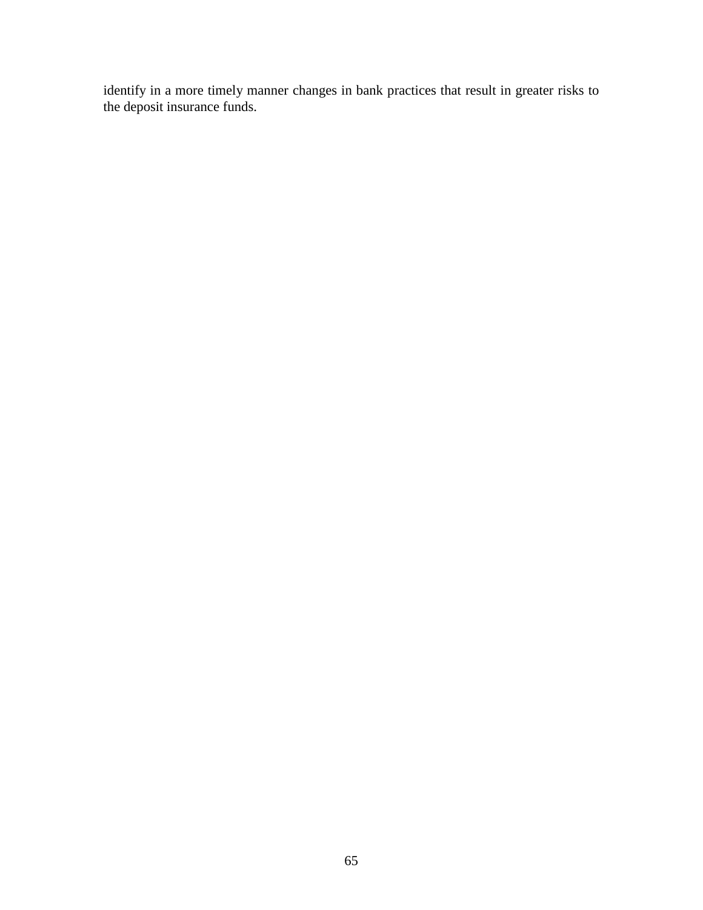identify in a more timely manner changes in bank practices that result in greater risks to the deposit insurance funds.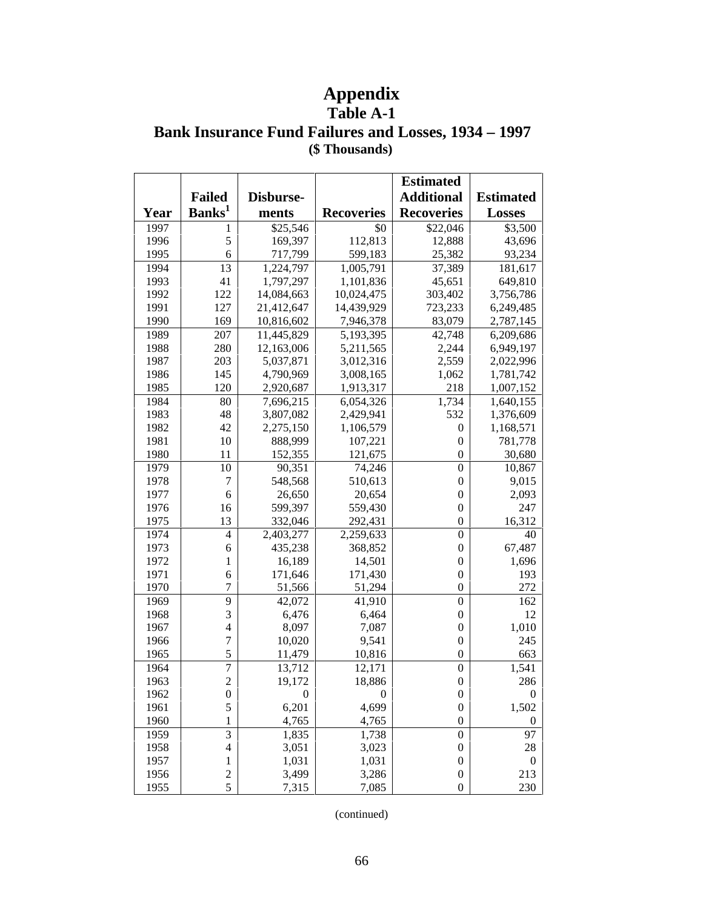# **Appendix**

### **Table A-1 Bank Insurance Fund Failures and Losses, 1934 – 1997 (\$ Thousands)**

|      |                         |                  | <b>Estimated</b>  |                   |                  |
|------|-------------------------|------------------|-------------------|-------------------|------------------|
|      | <b>Failed</b>           | Disburse-        |                   | <b>Additional</b> | <b>Estimated</b> |
| Year | Banks <sup>1</sup>      | ments            | <b>Recoveries</b> | <b>Recoveries</b> | <b>Losses</b>    |
| 1997 | 1                       | \$25,546         | \$0               | \$22,046          | \$3,500          |
| 1996 | 5                       | 169,397          | 112,813           | 12,888            | 43,696           |
| 1995 | 6                       | 717,799          | 599,183           | 25,382            | 93,234           |
| 1994 | 13                      | 1,224,797        | 1,005,791         | 37,389            | 181,617          |
| 1993 | 41                      | 1,797,297        | 1,101,836         | 45,651            | 649,810          |
| 1992 | 122                     | 14,084,663       | 10,024,475        | 303,402           | 3,756,786        |
| 1991 | 127                     | 21,412,647       | 14,439,929        | 723,233           | 6,249,485        |
| 1990 | 169                     | 10,816,602       | 7,946,378         | 83,079            | 2,787,145        |
| 1989 | 207                     | 11,445,829       | 5,193,395         | 42,748            | 6,209,686        |
| 1988 | 280                     | 12,163,006       | 5,211,565         | 2,244             | 6,949,197        |
| 1987 | 203                     | 5,037,871        | 3,012,316         | 2,559             | 2,022,996        |
| 1986 | 145                     | 4,790,969        | 3,008,165         | 1,062             | 1,781,742        |
| 1985 | 120                     | 2,920,687        | 1,913,317         | 218               | 1,007,152        |
| 1984 | 80                      | 7,696,215        | 6,054,326         | 1,734             | 1,640,155        |
| 1983 | 48                      | 3,807,082        | 2,429,941         | 532               | 1,376,609        |
| 1982 | 42                      | 2,275,150        | 1,106,579         | $\boldsymbol{0}$  | 1,168,571        |
| 1981 | 10                      | 888,999          | 107,221           | $\boldsymbol{0}$  | 781,778          |
| 1980 | 11                      | 152,355          | 121,675           | $\boldsymbol{0}$  | 30,680           |
| 1979 | 10                      | 90,351           | 74,246            | $\boldsymbol{0}$  | 10,867           |
| 1978 | 7                       | 548,568          | 510,613           | $\boldsymbol{0}$  | 9,015            |
| 1977 | 6                       | 26,650           | 20,654            | $\boldsymbol{0}$  | 2,093            |
| 1976 | 16                      | 599,397          | 559,430           | $\boldsymbol{0}$  | 247              |
| 1975 | 13                      | 332,046          | 292,431           | $\overline{0}$    | 16,312           |
| 1974 | $\overline{4}$          | 2,403,277        | 2,259,633         | $\boldsymbol{0}$  | 40               |
| 1973 | 6                       | 435,238          | 368,852           | $\boldsymbol{0}$  | 67,487           |
| 1972 | 1                       | 16,189           | 14,501            | $\boldsymbol{0}$  | 1,696            |
| 1971 | 6                       | 171,646          | 171,430           | $\boldsymbol{0}$  | 193              |
| 1970 | $\overline{7}$          | 51,566           | 51,294            | $\boldsymbol{0}$  | 272              |
| 1969 | 9                       | 42,072           | 41,910            | $\boldsymbol{0}$  | 162              |
| 1968 | 3                       | 6,476            | 6,464             | $\boldsymbol{0}$  | 12               |
| 1967 | $\overline{4}$          | 8,097            | 7,087             | $\boldsymbol{0}$  | 1,010            |
| 1966 | $\overline{7}$          | 10,020           | 9,541             | $\boldsymbol{0}$  | 245              |
| 1965 | 5                       | 11,479           | 10,816            | $\boldsymbol{0}$  | 663              |
| 1964 | $\overline{7}$          | 13,712           | 12,171            | $\boldsymbol{0}$  | 1,541            |
| 1963 | $\overline{c}$          | 19,172           | 18,886            | $\boldsymbol{0}$  | 286              |
| 1962 | $\boldsymbol{0}$        | $\boldsymbol{0}$ | $\boldsymbol{0}$  | $\boldsymbol{0}$  | $\boldsymbol{0}$ |
| 1961 | 5                       | 6,201            | 4,699             | $\boldsymbol{0}$  | 1,502            |
| 1960 | 1                       | 4,765            | 4,765             | $\boldsymbol{0}$  | $\boldsymbol{0}$ |
| 1959 | 3                       | 1,835            | 1,738             | $\boldsymbol{0}$  | 97               |
| 1958 | 4                       | 3,051            | 3,023             | $\boldsymbol{0}$  | 28               |
| 1957 | $\mathbf{1}$            | 1,031            | 1,031             | $\boldsymbol{0}$  | $\boldsymbol{0}$ |
| 1956 | $\overline{\mathbf{c}}$ | 3,499            | 3,286             | $\boldsymbol{0}$  | 213              |
| 1955 | $\overline{5}$          | 7,315            | 7,085             | $\boldsymbol{0}$  | 230              |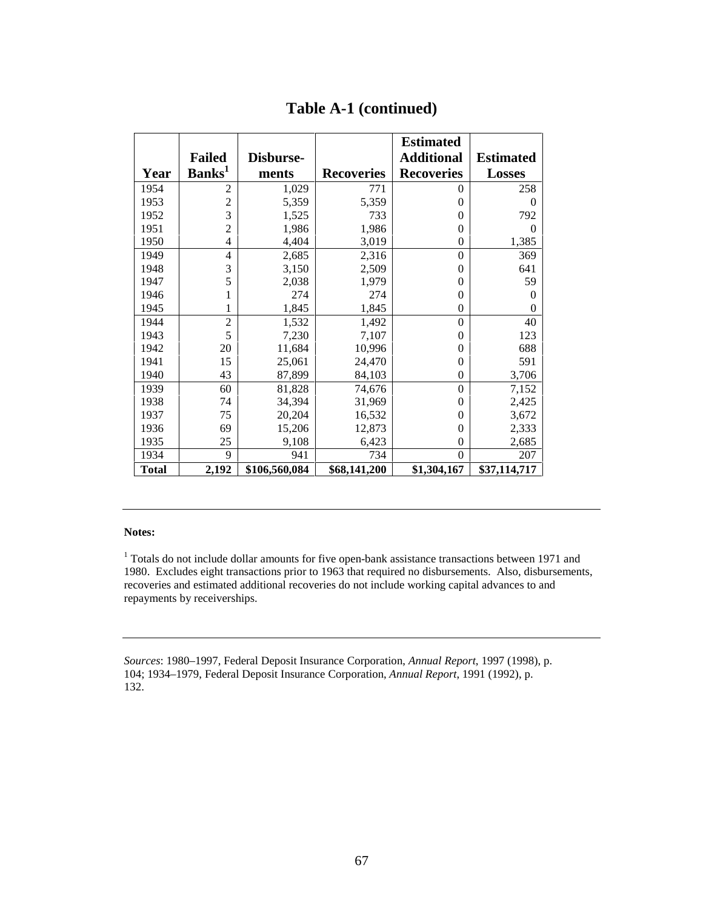|              |                    |               |                   | <b>Estimated</b>  |                  |
|--------------|--------------------|---------------|-------------------|-------------------|------------------|
|              | <b>Failed</b>      | Disburse-     |                   | <b>Additional</b> | <b>Estimated</b> |
| Year         | Banks <sup>1</sup> | ments         | <b>Recoveries</b> | <b>Recoveries</b> | <b>Losses</b>    |
| 1954         | $\overline{2}$     | 1,029         | 771               | 0                 | 258              |
| 1953         | $\overline{2}$     | 5,359         | 5,359             | $\theta$          | $\theta$         |
| 1952         | 3                  | 1,525         | 733               | 0                 | 792              |
| 1951         | $\overline{2}$     | 1,986         | 1,986             | $\overline{0}$    | $\Omega$         |
| 1950         | 4                  | 4,404         | 3,019             | $\overline{0}$    | 1,385            |
| 1949         | 4                  | 2,685         | 2,316             | $\theta$          | 369              |
| 1948         | 3                  | 3,150         | 2,509             | $\overline{0}$    | 641              |
| 1947         | 5                  | 2,038         | 1,979             | $\theta$          | 59               |
| 1946         |                    | 274           | 274               | 0                 | $\Omega$         |
| 1945         |                    | 1,845         | 1,845             | $\overline{0}$    | 0                |
| 1944         | $\overline{2}$     | 1,532         | 1,492             | $\theta$          | 40               |
| 1943         | 5                  | 7,230         | 7,107             | $\overline{0}$    | 123              |
| 1942         | 20                 | 11,684        | 10,996            | $\overline{0}$    | 688              |
| 1941         | 15                 | 25,061        | 24,470            | $\overline{0}$    | 591              |
| 1940         | 43                 | 87,899        | 84,103            | $\overline{0}$    | 3,706            |
| 1939         | 60                 | 81,828        | 74,676            | $\overline{0}$    | 7,152            |
| 1938         | 74                 | 34,394        | 31,969            | $\theta$          | 2,425            |
| 1937         | 75                 | 20,204        | 16,532            | $\overline{0}$    | 3,672            |
| 1936         | 69                 | 15,206        | 12,873            | $\overline{0}$    | 2,333            |
| 1935         | 25                 | 9,108         | 6,423             | $\overline{0}$    | 2,685            |
| 1934         | 9                  | 941           | 734               | $\theta$          | 207              |
| <b>Total</b> | 2,192              | \$106,560,084 | \$68,141,200      | \$1,304,167       | \$37,114,717     |

#### **Table A-1 (continued)**

#### **Notes:**

<sup>1</sup> Totals do not include dollar amounts for five open-bank assistance transactions between 1971 and 1980. Excludes eight transactions prior to 1963 that required no disbursements. Also, disbursements, recoveries and estimated additional recoveries do not include working capital advances to and repayments by receiverships.

*Sources*: 1980–1997, Federal Deposit Insurance Corporation, *Annual Report*, 1997 (1998), p. 104; 1934–1979, Federal Deposit Insurance Corporation, *Annual Report*, 1991 (1992), p. 132.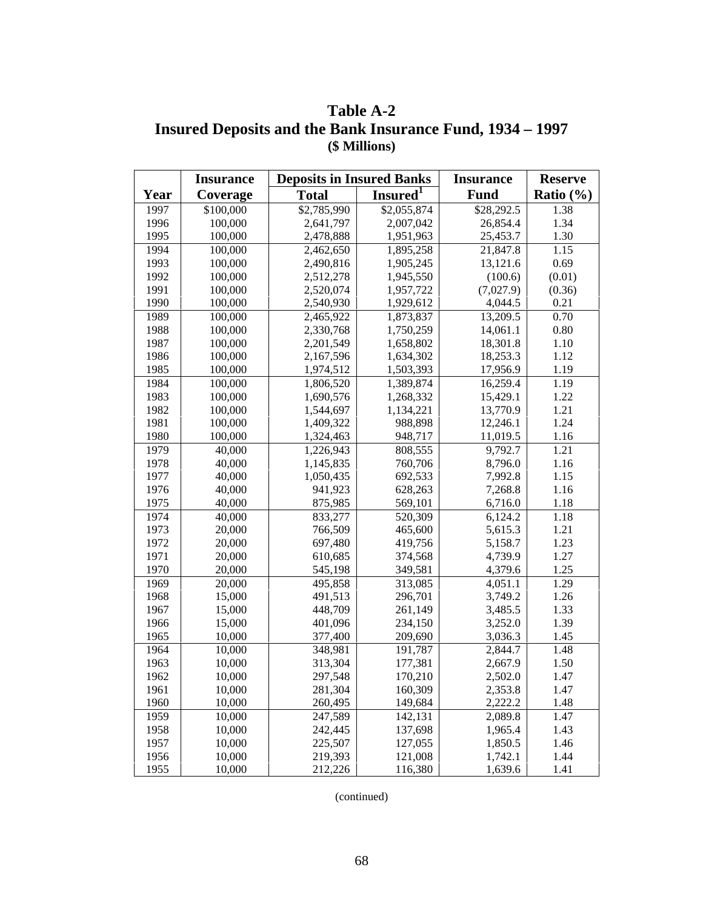**Table A-2 Insured Deposits and the Bank Insurance Fund, 1934 – 1997 (\$ Millions)**

|      | <b>Insurance</b> | <b>Deposits in Insured Banks</b> |                      | <b>Insurance</b> | <b>Reserve</b> |  |
|------|------------------|----------------------------------|----------------------|------------------|----------------|--|
| Year | Coverage         | <b>Total</b>                     | Insured <sup>1</sup> | <b>Fund</b>      | Ratio $(\% )$  |  |
| 1997 | \$100,000        | \$2,785,990                      | \$2,055,874          | \$28,292.5       | 1.38           |  |
| 1996 | 100,000          | 2,641,797                        | 2,007,042            | 26,854.4         | 1.34           |  |
| 1995 | 100,000          | 2,478,888                        | 1,951,963            | 25,453.7         | 1.30           |  |
| 1994 | 100,000          | 2,462,650                        | 1,895,258            | 21,847.8         | 1.15           |  |
| 1993 | 100,000          | 2,490,816                        | 1,905,245            | 13,121.6         | 0.69           |  |
| 1992 | 100,000          | 2,512,278                        | 1,945,550            | (100.6)          | (0.01)         |  |
| 1991 | 100,000          | 2,520,074                        | 1,957,722            | (7,027.9)        | (0.36)         |  |
| 1990 | 100,000          | 2,540,930                        | 1,929,612            | 4,044.5          | 0.21           |  |
| 1989 | 100,000          | 2,465,922                        | 1,873,837            | 13,209.5         | 0.70           |  |
| 1988 | 100,000          | 2,330,768                        | 1,750,259            | 14,061.1         | 0.80           |  |
| 1987 | 100,000          | 2,201,549                        | 1,658,802            | 18,301.8         | 1.10           |  |
| 1986 | 100,000          | 2,167,596                        | 1,634,302            | 18,253.3         | 1.12           |  |
| 1985 | 100,000          | 1,974,512                        | 1,503,393            | 17,956.9         | 1.19           |  |
| 1984 | 100,000          | 1,806,520                        | 1,389,874            | 16,259.4         | 1.19           |  |
| 1983 | 100,000          | 1,690,576                        | 1,268,332            | 15,429.1         | 1.22           |  |
| 1982 | 100,000          | 1,544,697                        | 1,134,221            | 13,770.9         | 1.21           |  |
| 1981 | 100,000          | 1,409,322                        | 988,898              | 12,246.1         | 1.24           |  |
| 1980 | 100,000          | 1,324,463                        | 948,717              | 11,019.5         | 1.16           |  |
| 1979 | 40,000           | 1,226,943                        | 808,555              | 9,792.7          | 1.21           |  |
| 1978 | 40,000           | 1,145,835                        | 760,706              | 8,796.0          | 1.16           |  |
| 1977 | 40,000           | 1,050,435                        | 692,533              | 7,992.8          | 1.15           |  |
| 1976 | 40,000           | 941,923                          | 628,263              | 7,268.8          | 1.16           |  |
| 1975 | 40,000           | 875,985                          | 569,101              | 6,716.0          | 1.18           |  |
| 1974 | 40,000           | 833,277                          | 520,309              | 6,124.2          | 1.18           |  |
| 1973 | 20,000           | 766,509                          | 465,600              | 5,615.3          | 1.21           |  |
| 1972 | 20,000           | 697,480                          | 419,756              | 5,158.7          | 1.23           |  |
| 1971 | 20,000           | 610,685                          | 374,568              | 4,739.9          | 1.27           |  |
| 1970 | 20,000           | 545,198                          | 349,581              | 4,379.6          | 1.25           |  |
| 1969 | 20,000           | 495,858                          | 313,085              | 4,051.1          | 1.29           |  |
| 1968 | 15,000           | 491,513                          | 296,701              | 3,749.2          | 1.26           |  |
| 1967 | 15,000           | 448,709                          | 261,149              | 3,485.5          | 1.33           |  |
| 1966 | 15,000           | 401,096                          | 234,150              | 3,252.0          | 1.39           |  |
| 1965 | 10,000           | 377,400                          | 209,690              | 3,036.3          | 1.45           |  |
| 1964 | 10,000           | 348,981                          | 191,787              | 2,844.7          | 1.48           |  |
| 1963 | 10,000           | 313,304                          | 177,381              | 2,667.9          | 1.50           |  |
| 1962 | 10,000           | 297,548                          | 170,210              | 2,502.0          | 1.47           |  |
| 1961 | 10,000           | 281,304                          | 160,309              | 2,353.8          | 1.47           |  |
| 1960 | 10,000           | 260,495                          | 149,684              | 2,222.2          | 1.48           |  |
| 1959 | 10,000           | 247,589                          | 142,131              | 2,089.8          | 1.47           |  |
| 1958 | 10,000           | 242,445                          | 137,698              | 1,965.4          | 1.43           |  |
| 1957 | 10,000           | 225,507                          | 127,055              | 1,850.5          | 1.46           |  |
| 1956 | 10,000           | 219,393                          | 121,008              | 1,742.1          | 1.44           |  |
| 1955 | 10,000           | 212,226                          | 116,380              | 1,639.6          | 1.41           |  |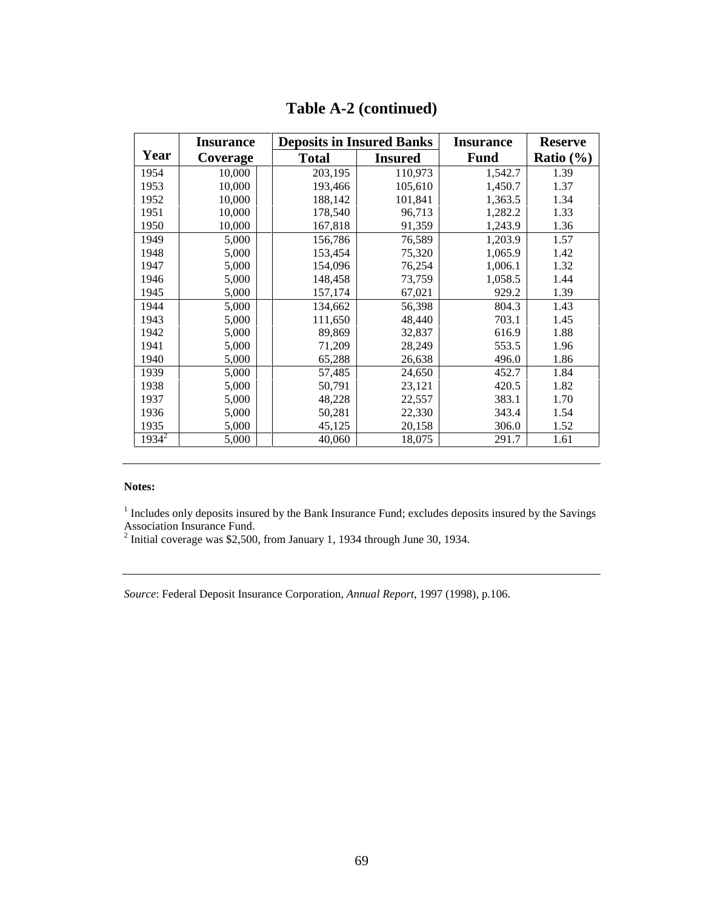|          | <b>Insurance</b> | <b>Deposits in Insured Banks</b> |                | <b>Insurance</b> | <b>Reserve</b> |
|----------|------------------|----------------------------------|----------------|------------------|----------------|
| Year     | Coverage         | <b>Total</b>                     | <b>Insured</b> | <b>Fund</b>      | Ratio $(\% )$  |
| 1954     | 10,000           | 203,195                          | 110,973        | 1,542.7          | 1.39           |
| 1953     | 10,000           | 193,466                          | 105,610        | 1,450.7          | 1.37           |
| 1952     | 10,000           | 188,142                          | 101,841        | 1,363.5          | 1.34           |
| 1951     | 10,000           | 178,540                          | 96,713         | 1,282.2          | 1.33           |
| 1950     | 10,000           | 167,818                          | 91,359         | 1,243.9          | 1.36           |
| 1949     | 5,000            | 156,786                          | 76,589         | 1,203.9          | 1.57           |
| 1948     | 5,000            | 153,454                          | 75,320         | 1,065.9          | 1.42           |
| 1947     | 5,000            | 154,096                          | 76,254         | 1,006.1          | 1.32           |
| 1946     | 5,000            | 148,458                          | 73,759         | 1,058.5          | 1.44           |
| 1945     | 5,000            | 157,174                          | 67,021         | 929.2            | 1.39           |
| 1944     | 5,000            | 134,662                          | 56,398         | 804.3            | 1.43           |
| 1943     | 5,000            | 111,650                          | 48,440         | 703.1            | 1.45           |
| 1942     | 5,000            | 89,869                           | 32,837         | 616.9            | 1.88           |
| 1941     | 5,000            | 71,209                           | 28,249         | 553.5            | 1.96           |
| 1940     | 5,000            | 65,288                           | 26,638         | 496.0            | 1.86           |
| 1939     | 5,000            | 57,485                           | 24,650         | 452.7            | 1.84           |
| 1938     | 5,000            | 50,791                           | 23,121         | 420.5            | 1.82           |
| 1937     | 5,000            | 48,228                           | 22,557         | 383.1            | 1.70           |
| 1936     | 5,000            | 50,281                           | 22,330         | 343.4            | 1.54           |
| 1935     | 5,000            | 45,125                           | 20,158         | 306.0            | 1.52           |
| $1934^2$ | 5,000            | 40,060                           | 18,075         | 291.7            | 1.61           |

### **Table A-2 (continued)**

#### **Notes:**

<sup>1</sup> Includes only deposits insured by the Bank Insurance Fund; excludes deposits insured by the Savings

Association Insurance Fund. 2 Initial coverage was \$2,500, from January 1, 1934 through June 30, 1934.

*Source*: Federal Deposit Insurance Corporation, *Annual Report*, 1997 (1998), p.106.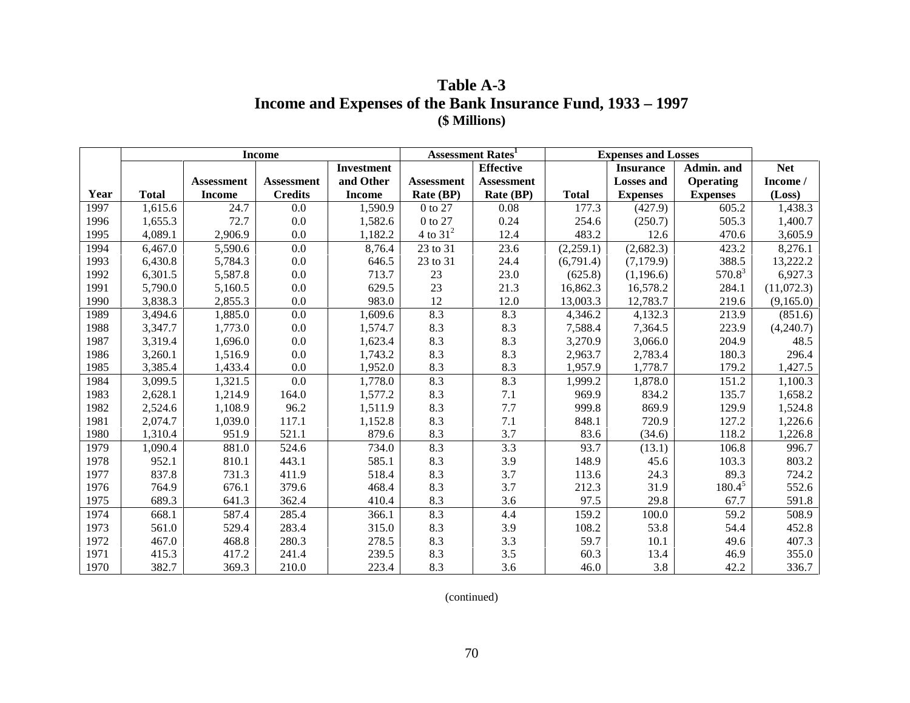### **Table A-3 Income and Expenses of the Bank Insurance Fund, 1933 – 1997 (\$ Millions)**

|      |              |                   | <b>Income</b>     |                   | <b>Assessment Rates</b> |                   |              | <b>Expenses and Losses</b> |                  |            |
|------|--------------|-------------------|-------------------|-------------------|-------------------------|-------------------|--------------|----------------------------|------------------|------------|
|      |              |                   |                   | <b>Investment</b> |                         | <b>Effective</b>  |              | <b>Insurance</b>           | Admin. and       | <b>Net</b> |
|      |              | <b>Assessment</b> | <b>Assessment</b> | and Other         | <b>Assessment</b>       | <b>Assessment</b> |              | <b>Losses and</b>          | <b>Operating</b> | Income /   |
| Year | <b>Total</b> | <b>Income</b>     | <b>Credits</b>    | <b>Income</b>     | Rate (BP)               | Rate (BP)         | <b>Total</b> | <b>Expenses</b>            | <b>Expenses</b>  | (Loss)     |
| 1997 | 1,615.6      | 24.7              | 0.0               | 1,590.9           | 0 to 27                 | 0.08              | 177.3        | (427.9)                    | 605.2            | 1,438.3    |
| 1996 | 1,655.3      | 72.7              | 0.0               | 1,582.6           | 0 to 27                 | 0.24              | 254.6        | (250.7)                    | 505.3            | 1,400.7    |
| 1995 | 4,089.1      | 2,906.9           | 0.0               | 1,182.2           | 4 to $31^2$             | 12.4              | 483.2        | 12.6                       | 470.6            | 3,605.9    |
| 1994 | 6,467.0      | 5,590.6           | 0.0               | 8,76.4            | 23 to 31                | 23.6              | (2,259.1)    | (2,682.3)                  | 423.2            | 8,276.1    |
| 1993 | 6,430.8      | 5,784.3           | 0.0               | 646.5             | 23 to 31                | 24.4              | (6,791.4)    | (7,179.9)                  | 388.5            | 13,222.2   |
| 1992 | 6,301.5      | 5,587.8           | 0.0               | 713.7             | 23                      | 23.0              | (625.8)      | (1,196.6)                  | $570.8^3$        | 6,927.3    |
| 1991 | 5,790.0      | 5,160.5           | 0.0               | 629.5             | 23                      | 21.3              | 16,862.3     | 16,578.2                   | 284.1            | (11,072.3) |
| 1990 | 3,838.3      | 2,855.3           | 0.0               | 983.0             | 12                      | 12.0              | 13,003.3     | 12,783.7                   | 219.6            | (9,165.0)  |
| 1989 | 3,494.6      | 1,885.0           | 0.0               | 1,609.6           | 8.3                     | 8.3               | 4,346.2      | 4,132.3                    | 213.9            | (851.6)    |
| 1988 | 3,347.7      | 1,773.0           | 0.0               | 1,574.7           | 8.3                     | 8.3               | 7,588.4      | 7,364.5                    | 223.9            | (4,240.7)  |
| 1987 | 3,319.4      | 1,696.0           | 0.0               | 1,623.4           | 8.3                     | 8.3               | 3,270.9      | 3,066.0                    | 204.9            | 48.5       |
| 1986 | 3,260.1      | 1,516.9           | 0.0               | 1,743.2           | 8.3                     | 8.3               | 2,963.7      | 2,783.4                    | 180.3            | 296.4      |
| 1985 | 3,385.4      | 1,433.4           | 0.0               | 1,952.0           | 8.3                     | 8.3               | 1,957.9      | 1,778.7                    | 179.2            | 1,427.5    |
| 1984 | 3,099.5      | 1,321.5           | 0.0               | 1,778.0           | 8.3                     | 8.3               | 1,999.2      | 1,878.0                    | 151.2            | 1,100.3    |
| 1983 | 2,628.1      | 1,214.9           | 164.0             | 1,577.2           | 8.3                     | 7.1               | 969.9        | 834.2                      | 135.7            | 1,658.2    |
| 1982 | 2,524.6      | 1,108.9           | 96.2              | 1,511.9           | 8.3                     | 7.7               | 999.8        | 869.9                      | 129.9            | 1,524.8    |
| 1981 | 2,074.7      | 1,039.0           | 117.1             | 1,152.8           | 8.3                     | 7.1               | 848.1        | 720.9                      | 127.2            | 1,226.6    |
| 1980 | 1,310.4      | 951.9             | 521.1             | 879.6             | 8.3                     | 3.7               | 83.6         | (34.6)                     | 118.2            | 1,226.8    |
| 1979 | 1,090.4      | 881.0             | 524.6             | 734.0             | 8.3                     | 3.3               | 93.7         | (13.1)                     | 106.8            | 996.7      |
| 1978 | 952.1        | 810.1             | 443.1             | 585.1             | 8.3                     | 3.9               | 148.9        | 45.6                       | 103.3            | 803.2      |
| 1977 | 837.8        | 731.3             | 411.9             | 518.4             | 8.3                     | 3.7               | 113.6        | 24.3                       | 89.3             | 724.2      |
| 1976 | 764.9        | 676.1             | 379.6             | 468.4             | 8.3                     | 3.7               | 212.3        | 31.9                       | $180.4^{5}$      | 552.6      |
| 1975 | 689.3        | 641.3             | 362.4             | 410.4             | 8.3                     | 3.6               | 97.5         | 29.8                       | 67.7             | 591.8      |
| 1974 | 668.1        | 587.4             | 285.4             | 366.1             | 8.3                     | 4.4               | 159.2        | 100.0                      | 59.2             | 508.9      |
| 1973 | 561.0        | 529.4             | 283.4             | 315.0             | 8.3                     | 3.9               | 108.2        | 53.8                       | 54.4             | 452.8      |
| 1972 | 467.0        | 468.8             | 280.3             | 278.5             | 8.3                     | 3.3               | 59.7         | 10.1                       | 49.6             | 407.3      |
| 1971 | 415.3        | 417.2             | 241.4             | 239.5             | 8.3                     | 3.5               | 60.3         | 13.4                       | 46.9             | 355.0      |
| 1970 | 382.7        | 369.3             | 210.0             | 223.4             | 8.3                     | 3.6               | 46.0         | 3.8                        | 42.2             | 336.7      |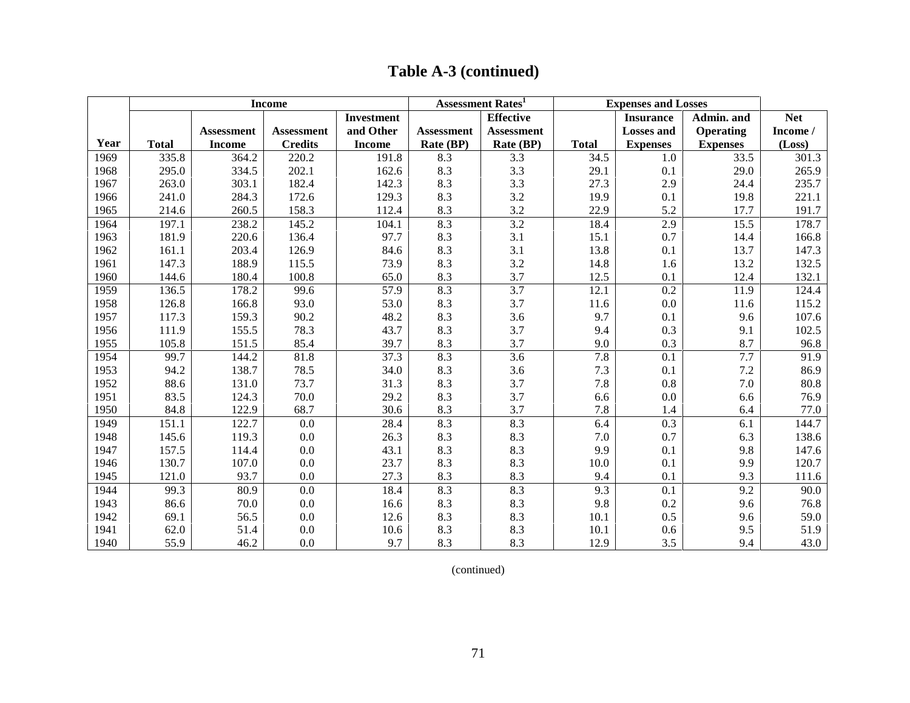|      |              |                   | <b>Income</b>     |                   |                   | Assessment Rates <sup>1</sup> |              | <b>Expenses and Losses</b> |                  |            |
|------|--------------|-------------------|-------------------|-------------------|-------------------|-------------------------------|--------------|----------------------------|------------------|------------|
|      |              |                   |                   | <b>Investment</b> |                   | <b>Effective</b>              |              | <b>Insurance</b>           | Admin. and       | <b>Net</b> |
|      |              | <b>Assessment</b> | <b>Assessment</b> | and Other         | <b>Assessment</b> | <b>Assessment</b>             |              | <b>Losses</b> and          | <b>Operating</b> | Income /   |
| Year | <b>Total</b> | <b>Income</b>     | <b>Credits</b>    | <b>Income</b>     | Rate (BP)         | Rate (BP)                     | <b>Total</b> | <b>Expenses</b>            | <b>Expenses</b>  | (Loss)     |
| 1969 | 335.8        | 364.2             | 220.2             | 191.8             | 8.3               | 3.3                           | 34.5         | 1.0                        | 33.5             | 301.3      |
| 1968 | 295.0        | 334.5             | 202.1             | 162.6             | 8.3               | 3.3                           | 29.1         | 0.1                        | 29.0             | 265.9      |
| 1967 | 263.0        | 303.1             | 182.4             | 142.3             | 8.3               | 3.3                           | 27.3         | 2.9                        | 24.4             | 235.7      |
| 1966 | 241.0        | 284.3             | 172.6             | 129.3             | 8.3               | 3.2                           | 19.9         | 0.1                        | 19.8             | 221.1      |
| 1965 | 214.6        | 260.5             | 158.3             | 112.4             | 8.3               | 3.2                           | 22.9         | 5.2                        | 17.7             | 191.7      |
| 1964 | 197.1        | 238.2             | 145.2             | 104.1             | 8.3               | 3.2                           | 18.4         | 2.9                        | 15.5             | 178.7      |
| 1963 | 181.9        | 220.6             | 136.4             | 97.7              | 8.3               | 3.1                           | 15.1         | 0.7                        | 14.4             | 166.8      |
| 1962 | 161.1        | 203.4             | 126.9             | 84.6              | 8.3               | 3.1                           | 13.8         | 0.1                        | 13.7             | 147.3      |
| 1961 | 147.3        | 188.9             | 115.5             | 73.9              | 8.3               | 3.2                           | 14.8         | 1.6                        | 13.2             | 132.5      |
| 1960 | 144.6        | 180.4             | 100.8             | 65.0              | 8.3               | 3.7                           | 12.5         | 0.1                        | 12.4             | 132.1      |
| 1959 | 136.5        | 178.2             | 99.6              | 57.9              | 8.3               | 3.7                           | 12.1         | 0.2                        | 11.9             | 124.4      |
| 1958 | 126.8        | 166.8             | 93.0              | 53.0              | 8.3               | 3.7                           | 11.6         | 0.0                        | 11.6             | 115.2      |
| 1957 | 117.3        | 159.3             | 90.2              | 48.2              | 8.3               | 3.6                           | 9.7          | 0.1                        | 9.6              | 107.6      |
| 1956 | 111.9        | 155.5             | 78.3              | 43.7              | 8.3               | 3.7                           | 9.4          | 0.3                        | 9.1              | 102.5      |
| 1955 | 105.8        | 151.5             | 85.4              | 39.7              | 8.3               | 3.7                           | 9.0          | 0.3                        | 8.7              | 96.8       |
| 1954 | 99.7         | 144.2             | 81.8              | 37.3              | 8.3               | 3.6                           | 7.8          | 0.1                        | 7.7              | 91.9       |
| 1953 | 94.2         | 138.7             | 78.5              | 34.0              | 8.3               | 3.6                           | 7.3          | 0.1                        | 7.2              | 86.9       |
| 1952 | 88.6         | 131.0             | 73.7              | 31.3              | 8.3               | 3.7                           | 7.8          | 0.8                        | 7.0              | 80.8       |
| 1951 | 83.5         | 124.3             | 70.0              | 29.2              | 8.3               | 3.7                           | 6.6          | 0.0                        | 6.6              | 76.9       |
| 1950 | 84.8         | 122.9             | 68.7              | 30.6              | 8.3               | 3.7                           | 7.8          | 1.4                        | 6.4              | 77.0       |
| 1949 | 151.1        | 122.7             | 0.0               | 28.4              | 8.3               | 8.3                           | 6.4          | 0.3                        | 6.1              | 144.7      |
| 1948 | 145.6        | 119.3             | 0.0               | 26.3              | 8.3               | 8.3                           | 7.0          | 0.7                        | 6.3              | 138.6      |
| 1947 | 157.5        | 114.4             | 0.0               | 43.1              | 8.3               | 8.3                           | 9.9          | 0.1                        | 9.8              | 147.6      |
| 1946 | 130.7        | 107.0             | $0.0\,$           | 23.7              | 8.3               | 8.3                           | 10.0         | 0.1                        | 9.9              | 120.7      |
| 1945 | 121.0        | 93.7              | 0.0               | 27.3              | 8.3               | 8.3                           | 9.4          | 0.1                        | 9.3              | 111.6      |
| 1944 | 99.3         | 80.9              | 0.0               | 18.4              | 8.3               | 8.3                           | 9.3          | 0.1                        | 9.2              | 90.0       |
| 1943 | 86.6         | 70.0              | 0.0               | 16.6              | 8.3               | 8.3                           | 9.8          | 0.2                        | 9.6              | 76.8       |
| 1942 | 69.1         | 56.5              | 0.0               | 12.6              | 8.3               | 8.3                           | 10.1         | 0.5                        | 9.6              | 59.0       |
| 1941 | 62.0         | 51.4              | 0.0               | 10.6              | 8.3               | 8.3                           | 10.1         | 0.6                        | 9.5              | 51.9       |
| 1940 | 55.9         | 46.2              | 0.0               | 9.7               | 8.3               | 8.3                           | 12.9         | 3.5                        | 9.4              | 43.0       |

## **Table A-3 (continued)**